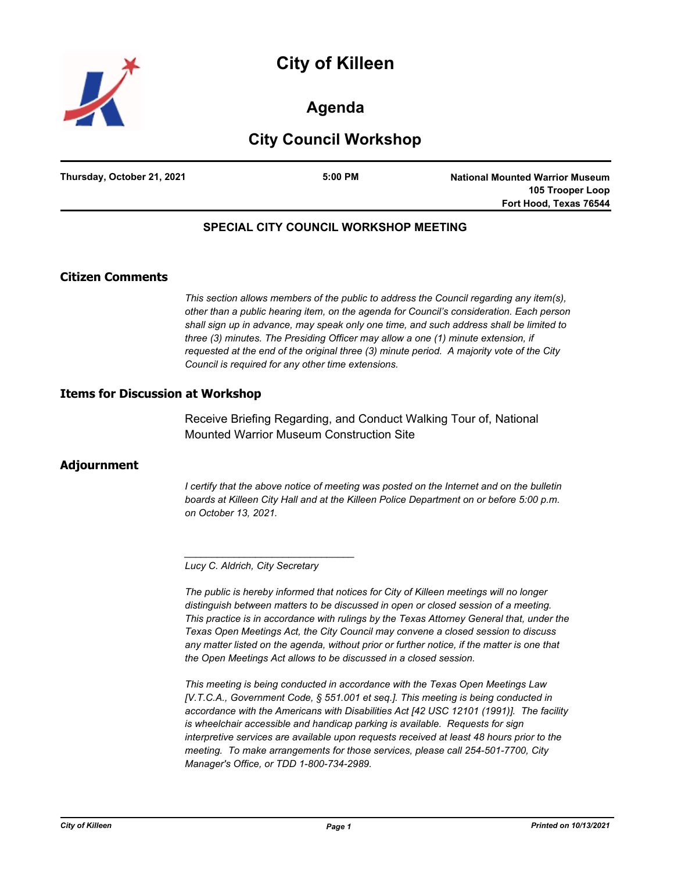



# **Agenda**

# **City Council Workshop**

| Thursday, October 21, 2021 | $5:00$ PM | <b>National Mounted Warrior Museum</b> |
|----------------------------|-----------|----------------------------------------|
|                            |           | 105 Trooper Loop                       |
|                            |           | Fort Hood, Texas 76544                 |

## **SPECIAL CITY COUNCIL WORKSHOP MEETING**

#### **Citizen Comments**

*This section allows members of the public to address the Council regarding any item(s), other than a public hearing item, on the agenda for Council's consideration. Each person shall sign up in advance, may speak only one time, and such address shall be limited to three (3) minutes. The Presiding Officer may allow a one (1) minute extension, if requested at the end of the original three (3) minute period. A majority vote of the City Council is required for any other time extensions.*

#### **Items for Discussion at Workshop**

Receive Briefing Regarding, and Conduct Walking Tour of, National Mounted Warrior Museum Construction Site

## **Adjournment**

*I* certify that the above notice of meeting was posted on the Internet and on the bulletin *boards at Killeen City Hall and at the Killeen Police Department on or before 5:00 p.m. on October 13, 2021.*

*Lucy C. Aldrich, City Secretary* 

*\_\_\_\_\_\_\_\_\_\_\_\_\_\_\_\_\_\_\_\_\_\_\_\_\_\_\_\_\_\_\_*

*The public is hereby informed that notices for City of Killeen meetings will no longer distinguish between matters to be discussed in open or closed session of a meeting. This practice is in accordance with rulings by the Texas Attorney General that, under the Texas Open Meetings Act, the City Council may convene a closed session to discuss any matter listed on the agenda, without prior or further notice, if the matter is one that the Open Meetings Act allows to be discussed in a closed session.*

*This meeting is being conducted in accordance with the Texas Open Meetings Law [V.T.C.A., Government Code, § 551.001 et seq.]. This meeting is being conducted in accordance with the Americans with Disabilities Act [42 USC 12101 (1991)]. The facility is wheelchair accessible and handicap parking is available. Requests for sign interpretive services are available upon requests received at least 48 hours prior to the meeting. To make arrangements for those services, please call 254-501-7700, City Manager's Office, or TDD 1-800-734-2989.*